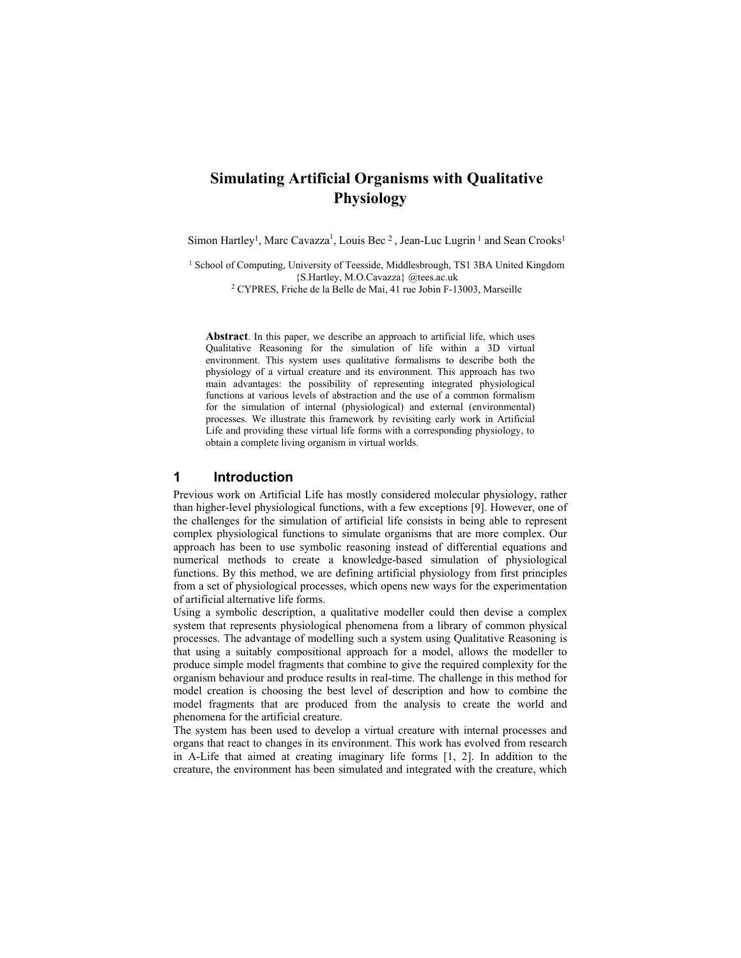# **Simulating Artificial Organisms with Qualitative Physiology**

Simon Hartley<sup>1</sup>, Marc Cavazza<sup>1</sup>, Louis Bec <sup>2</sup>, Jean-Luc Lugrin<sup>1</sup> and Sean Crooks<sup>1</sup>

<sup>1</sup> School of Computing, University of Teesside, Middlesbrough, TS1 3BA United Kingdom {S.Hartley, M.O.Cavazza} @tees.ac.uk 2 CYPRES, Friche de la Belle de Mai, 41 rue Jobin F-13003, Marseille

**Abstract**. In this paper, we describe an approach to artificial life, which uses Qualitative Reasoning for the simulation of life within a 3D virtual environment. This system uses qualitative formalisms to describe both the physiology of a virtual creature and its environment. This approach has two main advantages: the possibility of representing integrated physiological functions at various levels of abstraction and the use of a common formalism for the simulation of internal (physiological) and external (environmental) processes. We illustrate this framework by revisiting early work in Artificial Life and providing these virtual life forms with a corresponding physiology, to obtain a complete living organism in virtual worlds.

## **1 Introduction**

Previous work on Artificial Life has mostly considered molecular physiology, rather than higher-level physiological functions, with a few exceptions [9]. However, one of the challenges for the simulation of artificial life consists in being able to represent complex physiological functions to simulate organisms that are more complex. Our approach has been to use symbolic reasoning instead of differential equations and numerical methods to create a knowledge-based simulation of physiological functions. By this method, we are defining artificial physiology from first principles from a set of physiological processes, which opens new ways for the experimentation of artificial alternative life forms.

Using a symbolic description, a qualitative modeller could then devise a complex system that represents physiological phenomena from a library of common physical processes. The advantage of modelling such a system using Qualitative Reasoning is that using a suitably compositional approach for a model, allows the modeller to produce simple model fragments that combine to give the required complexity for the organism behaviour and produce results in real-time. The challenge in this method for model creation is choosing the best level of description and how to combine the model fragments that are produced from the analysis to create the world and phenomena for the artificial creature.

The system has been used to develop a virtual creature with internal processes and organs that react to changes in its environment. This work has evolved from research in A-Life that aimed at creating imaginary life forms [1, 2]. In addition to the creature, the environment has been simulated and integrated with the creature, which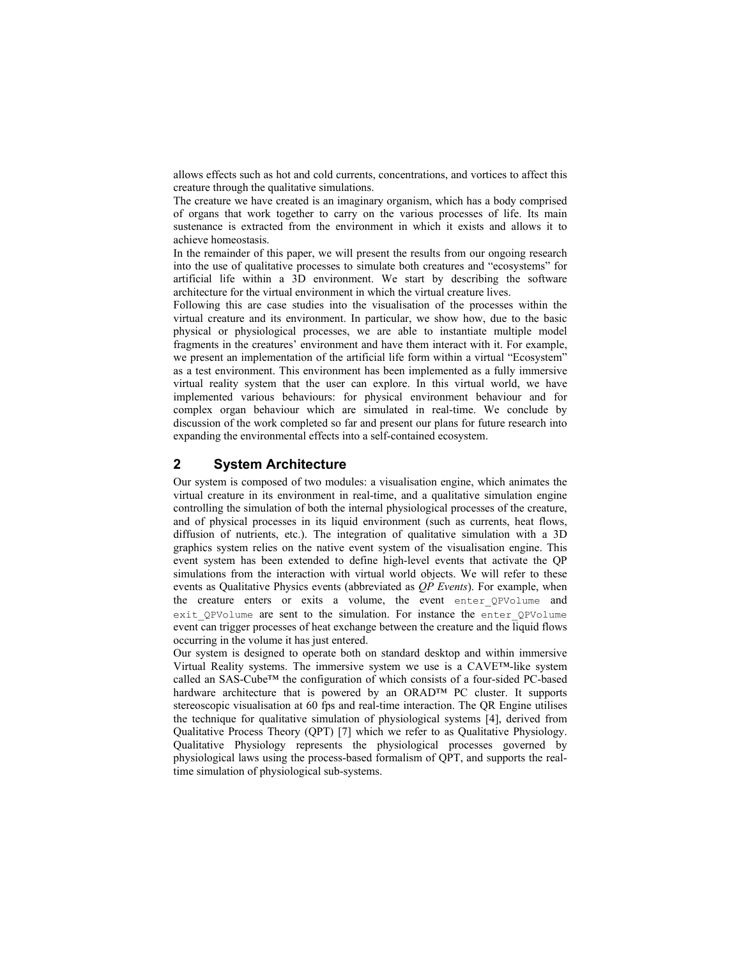allows effects such as hot and cold currents, concentrations, and vortices to affect this creature through the qualitative simulations.

The creature we have created is an imaginary organism, which has a body comprised of organs that work together to carry on the various processes of life. Its main sustenance is extracted from the environment in which it exists and allows it to achieve homeostasis.

In the remainder of this paper, we will present the results from our ongoing research into the use of qualitative processes to simulate both creatures and "ecosystems" for artificial life within a 3D environment. We start by describing the software architecture for the virtual environment in which the virtual creature lives.

Following this are case studies into the visualisation of the processes within the virtual creature and its environment. In particular, we show how, due to the basic physical or physiological processes, we are able to instantiate multiple model fragments in the creatures' environment and have them interact with it. For example, we present an implementation of the artificial life form within a virtual "Ecosystem" as a test environment. This environment has been implemented as a fully immersive virtual reality system that the user can explore. In this virtual world, we have implemented various behaviours: for physical environment behaviour and for complex organ behaviour which are simulated in real-time. We conclude by discussion of the work completed so far and present our plans for future research into expanding the environmental effects into a self-contained ecosystem.

# **2 System Architecture**

Our system is composed of two modules: a visualisation engine, which animates the virtual creature in its environment in real-time, and a qualitative simulation engine controlling the simulation of both the internal physiological processes of the creature, and of physical processes in its liquid environment (such as currents, heat flows, diffusion of nutrients, etc.). The integration of qualitative simulation with a 3D graphics system relies on the native event system of the visualisation engine. This event system has been extended to define high-level events that activate the QP simulations from the interaction with virtual world objects. We will refer to these events as Qualitative Physics events (abbreviated as *QP Events*). For example, when the creature enters or exits a volume, the event enter\_QPVolume and exit QPVolume are sent to the simulation. For instance the enter QPVolume event can trigger processes of heat exchange between the creature and the liquid flows occurring in the volume it has just entered.

Our system is designed to operate both on standard desktop and within immersive Virtual Reality systems. The immersive system we use is a CAVE™-like system called an SAS-Cube™ the configuration of which consists of a four-sided PC-based hardware architecture that is powered by an ORAD™ PC cluster. It supports stereoscopic visualisation at 60 fps and real-time interaction. The QR Engine utilises the technique for qualitative simulation of physiological systems [4], derived from Qualitative Process Theory (QPT) [7] which we refer to as Qualitative Physiology. Qualitative Physiology represents the physiological processes governed by physiological laws using the process-based formalism of QPT, and supports the realtime simulation of physiological sub-systems.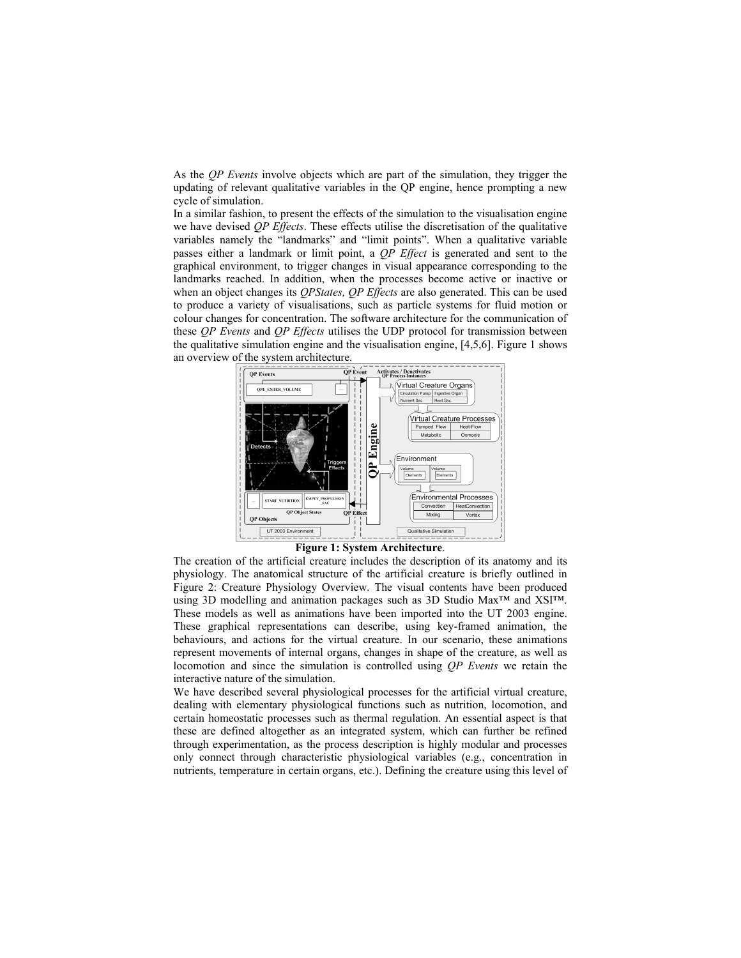As the *QP Events* involve objects which are part of the simulation, they trigger the updating of relevant qualitative variables in the QP engine, hence prompting a new cycle of simulation.

In a similar fashion, to present the effects of the simulation to the visualisation engine we have devised *QP Effects*. These effects utilise the discretisation of the qualitative variables namely the "landmarks" and "limit points". When a qualitative variable passes either a landmark or limit point, a *QP Effect* is generated and sent to the graphical environment, to trigger changes in visual appearance corresponding to the landmarks reached. In addition, when the processes become active or inactive or when an object changes its *QPStates, QP Effects* are also generated. This can be used to produce a variety of visualisations, such as particle systems for fluid motion or colour changes for concentration. The software architecture for the communication of these *QP Events* and *QP Effects* utilises the UDP protocol for transmission between the qualitative simulation engine and the visualisation engine, [4,5,6]. Figure 1 shows an overview of the system architecture.



**Figure 1: System Architecture**.

The creation of the artificial creature includes the description of its anatomy and its physiology. The anatomical structure of the artificial creature is briefly outlined in Figure 2: Creature Physiology Overview. The visual contents have been produced using 3D modelling and animation packages such as 3D Studio Max™ and XSI™. These models as well as animations have been imported into the UT 2003 engine. These graphical representations can describe, using key-framed animation, the behaviours, and actions for the virtual creature. In our scenario, these animations represent movements of internal organs, changes in shape of the creature, as well as locomotion and since the simulation is controlled using *QP Events* we retain the interactive nature of the simulation.

We have described several physiological processes for the artificial virtual creature, dealing with elementary physiological functions such as nutrition, locomotion, and certain homeostatic processes such as thermal regulation. An essential aspect is that these are defined altogether as an integrated system, which can further be refined through experimentation, as the process description is highly modular and processes only connect through characteristic physiological variables (e.g., concentration in nutrients, temperature in certain organs, etc.). Defining the creature using this level of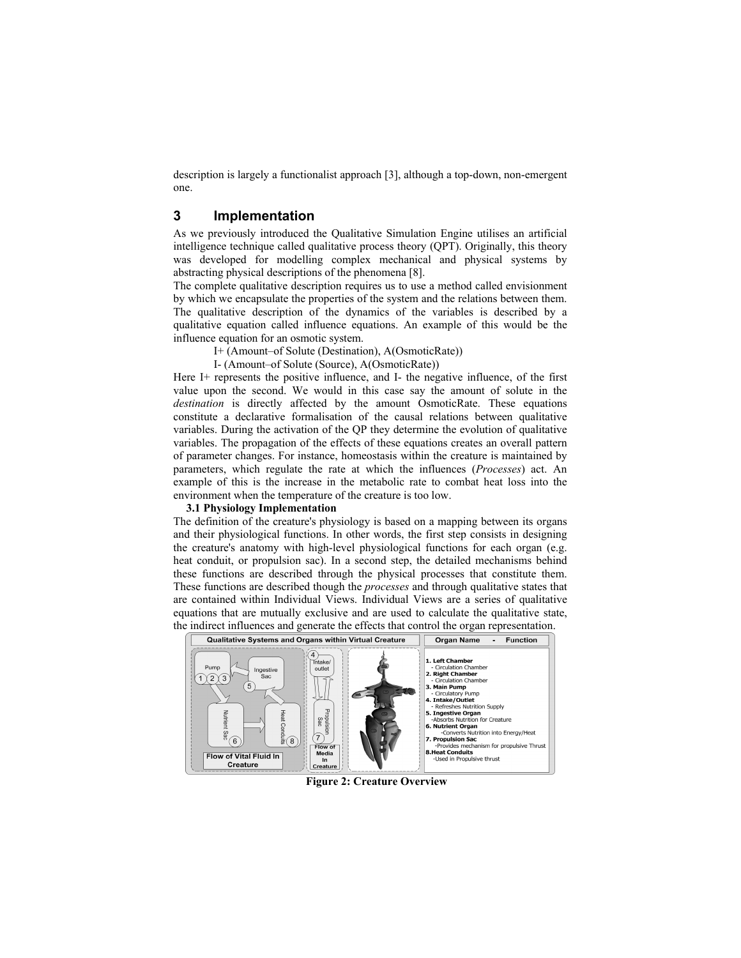description is largely a functionalist approach [3], although a top-down, non-emergent one.

# **3 Implementation**

As we previously introduced the Qualitative Simulation Engine utilises an artificial intelligence technique called qualitative process theory (QPT). Originally, this theory was developed for modelling complex mechanical and physical systems by abstracting physical descriptions of the phenomena [8].

The complete qualitative description requires us to use a method called envisionment by which we encapsulate the properties of the system and the relations between them. The qualitative description of the dynamics of the variables is described by a qualitative equation called influence equations. An example of this would be the influence equation for an osmotic system.

- I+ (Amount–of Solute (Destination), A(OsmoticRate))
- I- (Amount–of Solute (Source), A(OsmoticRate))

Here I+ represents the positive influence, and I- the negative influence, of the first value upon the second. We would in this case say the amount of solute in the *destination* is directly affected by the amount OsmoticRate. These equations constitute a declarative formalisation of the causal relations between qualitative variables. During the activation of the QP they determine the evolution of qualitative variables. The propagation of the effects of these equations creates an overall pattern of parameter changes. For instance, homeostasis within the creature is maintained by parameters, which regulate the rate at which the influences (*Processes*) act. An example of this is the increase in the metabolic rate to combat heat loss into the environment when the temperature of the creature is too low.

#### **3.1 Physiology Implementation**

The definition of the creature's physiology is based on a mapping between its organs and their physiological functions. In other words, the first step consists in designing the creature's anatomy with high-level physiological functions for each organ (e.g. heat conduit, or propulsion sac). In a second step, the detailed mechanisms behind these functions are described through the physical processes that constitute them. These functions are described though the *processes* and through qualitative states that are contained within Individual Views. Individual Views are a series of qualitative equations that are mutually exclusive and are used to calculate the qualitative state, the indirect influences and generate the effects that control the organ representation.



**Figure 2: Creature Overview**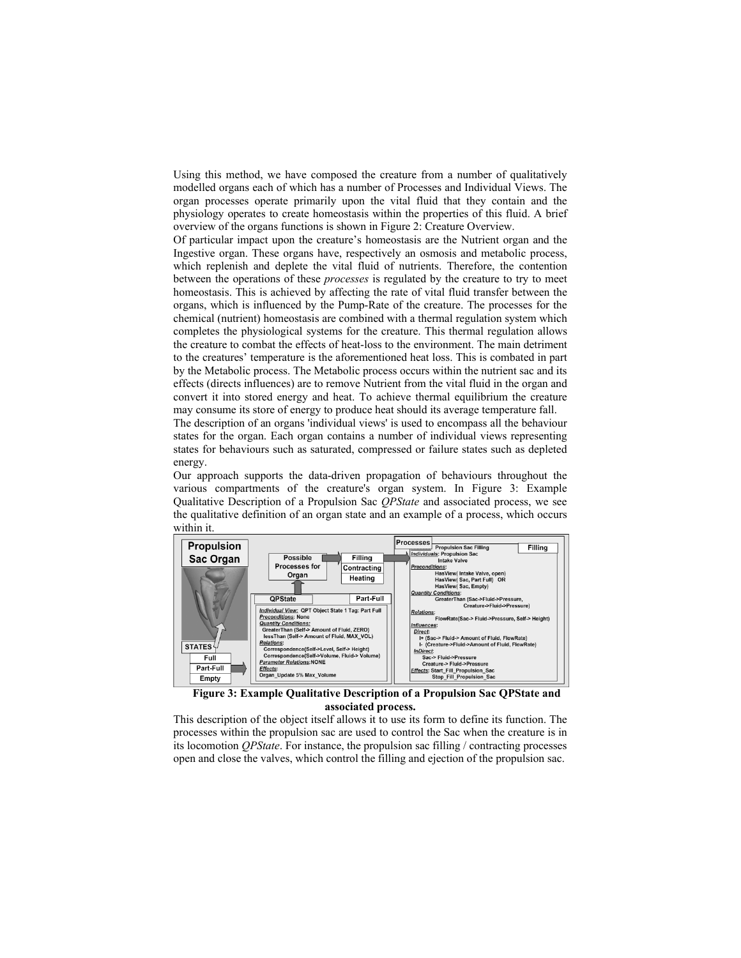Using this method, we have composed the creature from a number of qualitatively modelled organs each of which has a number of Processes and Individual Views. The organ processes operate primarily upon the vital fluid that they contain and the physiology operates to create homeostasis within the properties of this fluid. A brief overview of the organs functions is shown in Figure 2: Creature Overview.

Of particular impact upon the creature's homeostasis are the Nutrient organ and the Ingestive organ. These organs have, respectively an osmosis and metabolic process, which replenish and deplete the vital fluid of nutrients. Therefore, the contention between the operations of these *processes* is regulated by the creature to try to meet homeostasis. This is achieved by affecting the rate of vital fluid transfer between the organs, which is influenced by the Pump-Rate of the creature. The processes for the chemical (nutrient) homeostasis are combined with a thermal regulation system which completes the physiological systems for the creature. This thermal regulation allows the creature to combat the effects of heat-loss to the environment. The main detriment to the creatures' temperature is the aforementioned heat loss. This is combated in part by the Metabolic process. The Metabolic process occurs within the nutrient sac and its effects (directs influences) are to remove Nutrient from the vital fluid in the organ and convert it into stored energy and heat. To achieve thermal equilibrium the creature may consume its store of energy to produce heat should its average temperature fall.

The description of an organs 'individual views' is used to encompass all the behaviour states for the organ. Each organ contains a number of individual views representing states for behaviours such as saturated, compressed or failure states such as depleted energy.

Our approach supports the data-driven propagation of behaviours throughout the various compartments of the creature's organ system. In Figure 3: Example Qualitative Description of a Propulsion Sac *QPState* and associated process, we see the qualitative definition of an organ state and an example of a process, which occurs within it.



**Figure 3: Example Qualitative Description of a Propulsion Sac QPState and associated process.** 

This description of the object itself allows it to use its form to define its function. The processes within the propulsion sac are used to control the Sac when the creature is in its locomotion *QPState*. For instance, the propulsion sac filling / contracting processes open and close the valves, which control the filling and ejection of the propulsion sac.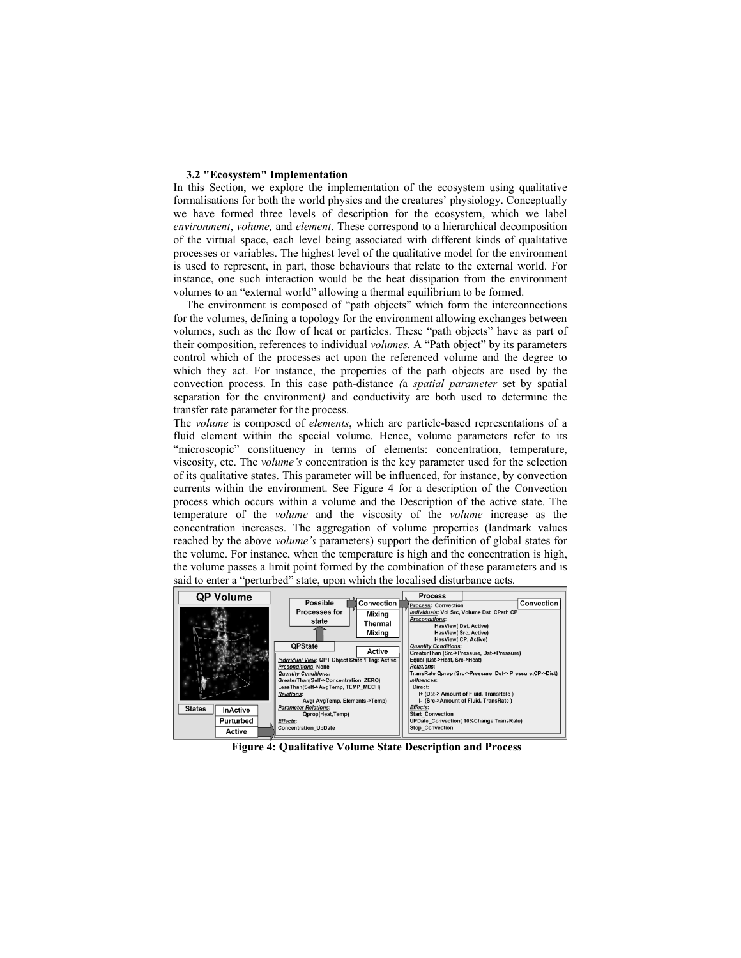#### **3.2 "Ecosystem" Implementation**

In this Section, we explore the implementation of the ecosystem using qualitative formalisations for both the world physics and the creatures' physiology. Conceptually we have formed three levels of description for the ecosystem, which we label *environment*, *volume,* and *element*. These correspond to a hierarchical decomposition of the virtual space, each level being associated with different kinds of qualitative processes or variables. The highest level of the qualitative model for the environment is used to represent, in part, those behaviours that relate to the external world. For instance, one such interaction would be the heat dissipation from the environment volumes to an "external world" allowing a thermal equilibrium to be formed.

The environment is composed of "path objects" which form the interconnections for the volumes, defining a topology for the environment allowing exchanges between volumes, such as the flow of heat or particles. These "path objects" have as part of their composition, references to individual *volumes.* A "Path object" by its parameters control which of the processes act upon the referenced volume and the degree to which they act. For instance, the properties of the path objects are used by the convection process. In this case path-distance *(*a *spatial parameter* set by spatial separation for the environment*)* and conductivity are both used to determine the transfer rate parameter for the process.

The *volume* is composed of *elements*, which are particle-based representations of a fluid element within the special volume. Hence, volume parameters refer to its "microscopic" constituency in terms of elements: concentration, temperature, viscosity, etc. The *volume's* concentration is the key parameter used for the selection of its qualitative states. This parameter will be influenced, for instance, by convection currents within the environment. See Figure 4 for a description of the Convection process which occurs within a volume and the Description of the active state. The temperature of the *volume* and the viscosity of the *volume* increase as the concentration increases. The aggregation of volume properties (landmark values reached by the above *volume's* parameters) support the definition of global states for the volume. For instance, when the temperature is high and the concentration is high, the volume passes a limit point formed by the combination of these parameters and is said to enter a "perturbed" state, upon which the localised disturbance acts.



**Figure 4: Qualitative Volume State Description and Process**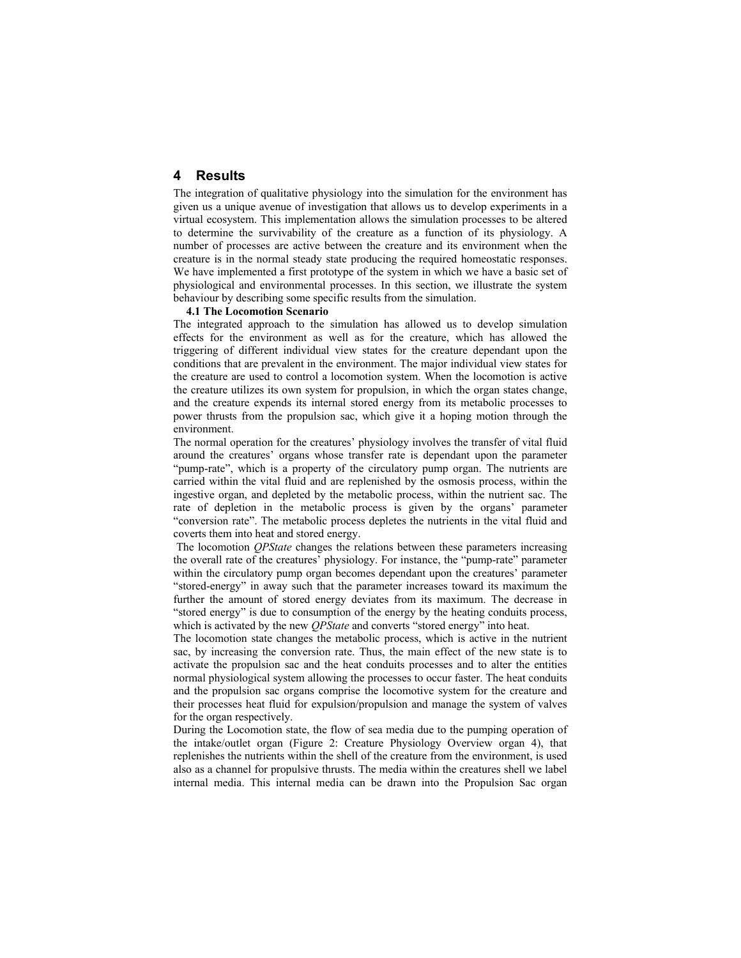## **4 Results**

The integration of qualitative physiology into the simulation for the environment has given us a unique avenue of investigation that allows us to develop experiments in a virtual ecosystem. This implementation allows the simulation processes to be altered to determine the survivability of the creature as a function of its physiology. A number of processes are active between the creature and its environment when the creature is in the normal steady state producing the required homeostatic responses. We have implemented a first prototype of the system in which we have a basic set of physiological and environmental processes. In this section, we illustrate the system behaviour by describing some specific results from the simulation.

#### **4.1 The Locomotion Scenario**

The integrated approach to the simulation has allowed us to develop simulation effects for the environment as well as for the creature, which has allowed the triggering of different individual view states for the creature dependant upon the conditions that are prevalent in the environment. The major individual view states for the creature are used to control a locomotion system. When the locomotion is active the creature utilizes its own system for propulsion, in which the organ states change, and the creature expends its internal stored energy from its metabolic processes to power thrusts from the propulsion sac, which give it a hoping motion through the environment.

The normal operation for the creatures' physiology involves the transfer of vital fluid around the creatures' organs whose transfer rate is dependant upon the parameter "pump-rate", which is a property of the circulatory pump organ. The nutrients are carried within the vital fluid and are replenished by the osmosis process, within the ingestive organ, and depleted by the metabolic process, within the nutrient sac. The rate of depletion in the metabolic process is given by the organs' parameter "conversion rate". The metabolic process depletes the nutrients in the vital fluid and coverts them into heat and stored energy.

 The locomotion *QPState* changes the relations between these parameters increasing the overall rate of the creatures' physiology. For instance, the "pump-rate" parameter within the circulatory pump organ becomes dependant upon the creatures' parameter "stored-energy" in away such that the parameter increases toward its maximum the further the amount of stored energy deviates from its maximum. The decrease in "stored energy" is due to consumption of the energy by the heating conduits process, which is activated by the new *QPState* and converts "stored energy" into heat.

The locomotion state changes the metabolic process, which is active in the nutrient sac, by increasing the conversion rate. Thus, the main effect of the new state is to activate the propulsion sac and the heat conduits processes and to alter the entities normal physiological system allowing the processes to occur faster. The heat conduits and the propulsion sac organs comprise the locomotive system for the creature and their processes heat fluid for expulsion/propulsion and manage the system of valves for the organ respectively.

During the Locomotion state, the flow of sea media due to the pumping operation of the intake/outlet organ (Figure 2: Creature Physiology Overview organ 4), that replenishes the nutrients within the shell of the creature from the environment, is used also as a channel for propulsive thrusts. The media within the creatures shell we label internal media. This internal media can be drawn into the Propulsion Sac organ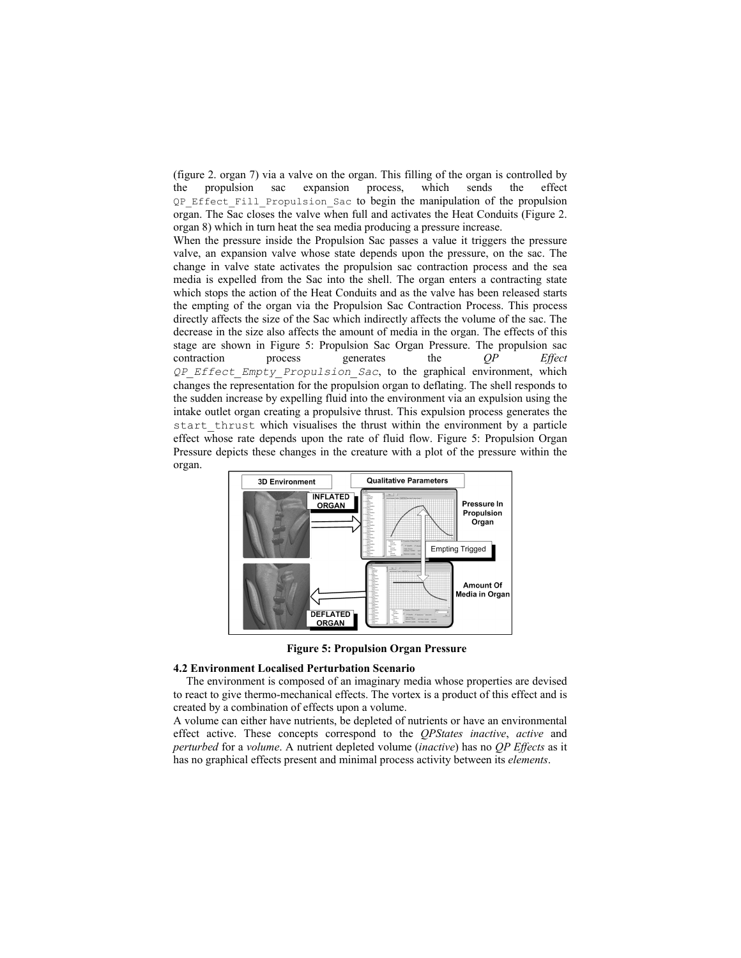(figure 2. organ 7) via a valve on the organ. This filling of the organ is controlled by the propulsion sac expansion process, which sends the effect QP\_Effect\_Fill\_Propulsion\_Sac to begin the manipulation of the propulsion organ. The Sac closes the valve when full and activates the Heat Conduits (Figure 2. organ 8) which in turn heat the sea media producing a pressure increase.

When the pressure inside the Propulsion Sac passes a value it triggers the pressure valve, an expansion valve whose state depends upon the pressure, on the sac. The change in valve state activates the propulsion sac contraction process and the sea media is expelled from the Sac into the shell. The organ enters a contracting state which stops the action of the Heat Conduits and as the valve has been released starts the empting of the organ via the Propulsion Sac Contraction Process. This process directly affects the size of the Sac which indirectly affects the volume of the sac. The decrease in the size also affects the amount of media in the organ. The effects of this stage are shown in Figure 5: Propulsion Sac Organ Pressure. The propulsion sac contraction process generates the OP Effect contraction process generates the *QP Effect QP\_Effect\_Empty\_Propulsion\_Sac*, to the graphical environment, which changes the representation for the propulsion organ to deflating. The shell responds to the sudden increase by expelling fluid into the environment via an expulsion using the intake outlet organ creating a propulsive thrust. This expulsion process generates the start thrust which visualises the thrust within the environment by a particle effect whose rate depends upon the rate of fluid flow. Figure 5: Propulsion Organ Pressure depicts these changes in the creature with a plot of the pressure within the organ.



**Figure 5: Propulsion Organ Pressure** 

#### **4.2 Environment Localised Perturbation Scenario**

The environment is composed of an imaginary media whose properties are devised to react to give thermo-mechanical effects. The vortex is a product of this effect and is created by a combination of effects upon a volume.

A volume can either have nutrients, be depleted of nutrients or have an environmental effect active. These concepts correspond to the *QPStates inactive*, *active* and *perturbed* for a *volume*. A nutrient depleted volume (*inactive*) has no *QP Effects* as it has no graphical effects present and minimal process activity between its *elements*.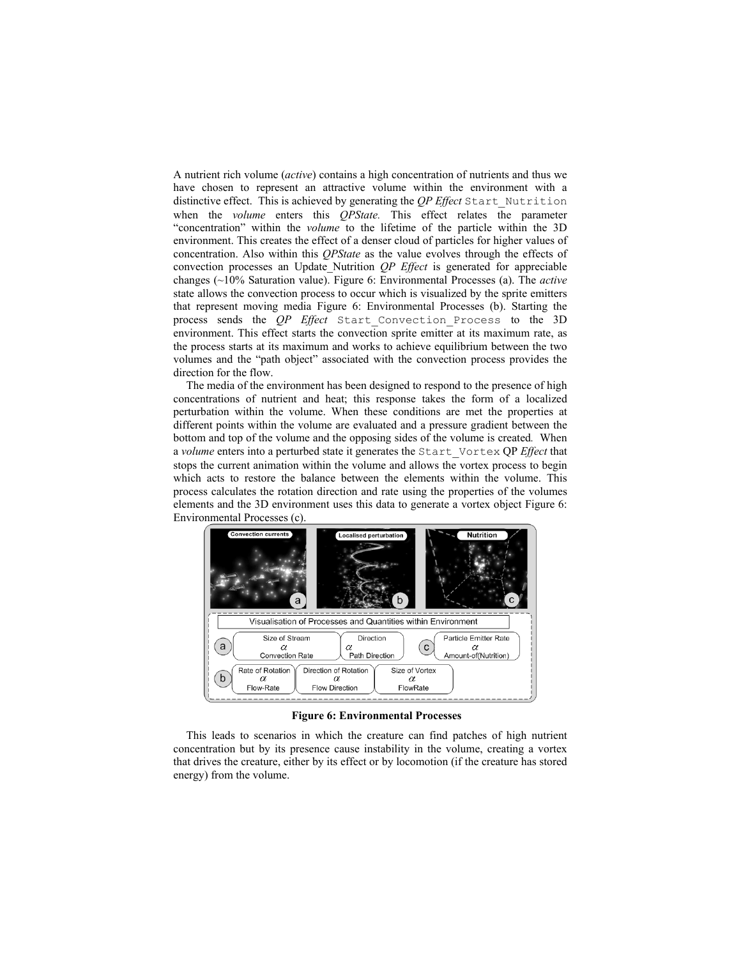A nutrient rich volume (*active*) contains a high concentration of nutrients and thus we have chosen to represent an attractive volume within the environment with a distinctive effect. This is achieved by generating the *QP Effect* Start*\_*Nutrition when the *volume* enters this *QPState*. This effect relates the parameter "concentration" within the *volume* to the lifetime of the particle within the 3D environment. This creates the effect of a denser cloud of particles for higher values of concentration. Also within this *QPState* as the value evolves through the effects of convection processes an Update\_Nutrition *QP Effect* is generated for appreciable changes (~10% Saturation value). Figure 6: Environmental Processes (a). The *active* state allows the convection process to occur which is visualized by the sprite emitters that represent moving media Figure 6: Environmental Processes (b). Starting the process sends the *QP Effect* Start\_Convection\_Process to the 3D environment. This effect starts the convection sprite emitter at its maximum rate, as the process starts at its maximum and works to achieve equilibrium between the two volumes and the "path object" associated with the convection process provides the direction for the flow.

The media of the environment has been designed to respond to the presence of high concentrations of nutrient and heat; this response takes the form of a localized perturbation within the volume. When these conditions are met the properties at different points within the volume are evaluated and a pressure gradient between the bottom and top of the volume and the opposing sides of the volume is created*.* When a *volume* enters into a perturbed state it generates the Start\_Vortex QP *Effect* that stops the current animation within the volume and allows the vortex process to begin which acts to restore the balance between the elements within the volume. This process calculates the rotation direction and rate using the properties of the volumes elements and the 3D environment uses this data to generate a vortex object Figure 6: Environmental Processes (c).



#### **Figure 6: Environmental Processes**

This leads to scenarios in which the creature can find patches of high nutrient concentration but by its presence cause instability in the volume, creating a vortex that drives the creature, either by its effect or by locomotion (if the creature has stored energy) from the volume.